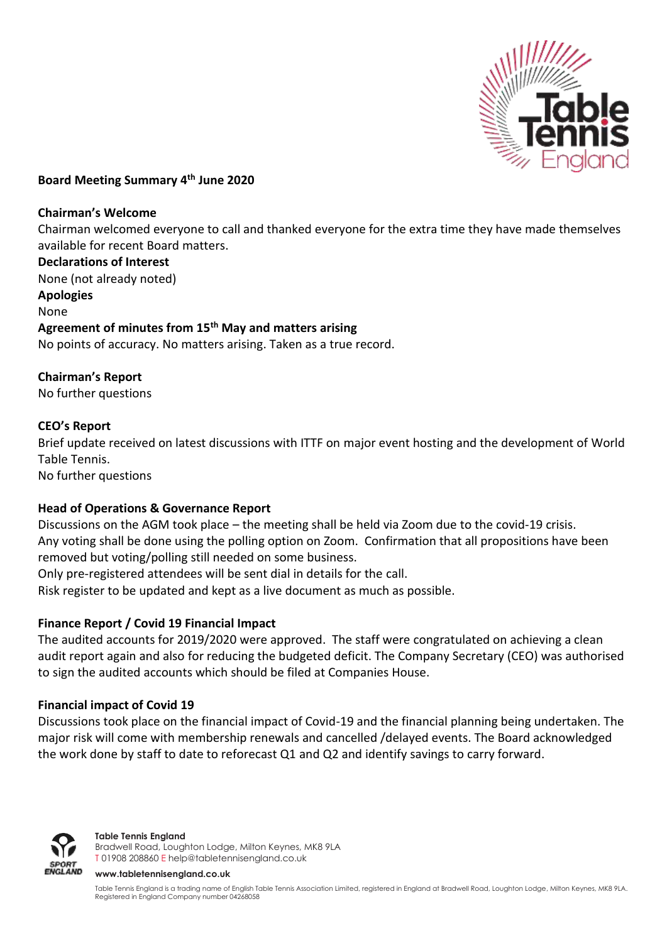

## **Board Meeting Summary 4th June 2020**

#### **Chairman's Welcome**

Chairman welcomed everyone to call and thanked everyone for the extra time they have made themselves available for recent Board matters.

**Declarations of Interest** None (not already noted) **Apologies** None **Agreement of minutes from 15th May and matters arising** No points of accuracy. No matters arising. Taken as a true record.

## **Chairman's Report**

No further questions

## **CEO's Report**

Brief update received on latest discussions with ITTF on major event hosting and the development of World Table Tennis.

No further questions

## **Head of Operations & Governance Report**

Discussions on the AGM took place – the meeting shall be held via Zoom due to the covid-19 crisis. Any voting shall be done using the polling option on Zoom. Confirmation that all propositions have been removed but voting/polling still needed on some business.

Only pre-registered attendees will be sent dial in details for the call.

Risk register to be updated and kept as a live document as much as possible.

# **Finance Report / Covid 19 Financial Impact**

The audited accounts for 2019/2020 were approved. The staff were congratulated on achieving a clean audit report again and also for reducing the budgeted deficit. The Company Secretary (CEO) was authorised to sign the audited accounts which should be filed at Companies House.

## **Financial impact of Covid 19**

Discussions took place on the financial impact of Covid-19 and the financial planning being undertaken. The major risk will come with membership renewals and cancelled /delayed events. The Board acknowledged the work done by staff to date to reforecast Q1 and Q2 and identify savings to carry forward.



#### **Table Tennis England**

Bradwell Road, Loughton Lodge, Milton Keynes, MK8 9LA T 01908 208860 [E help@tabletennisengland.co.uk](mailto:help@tabletennisengland.co.uk)

#### **[www.tabletennisengland.co.uk](http://www.tabletennisengland.co.uk/)**

Table Tennis England is a trading name of English Table Tennis Association Limited, registered in England at Bradwell Road, Loughton Lodge, Milton Keynes, MK8 9LA. Registered in England Company number 04268058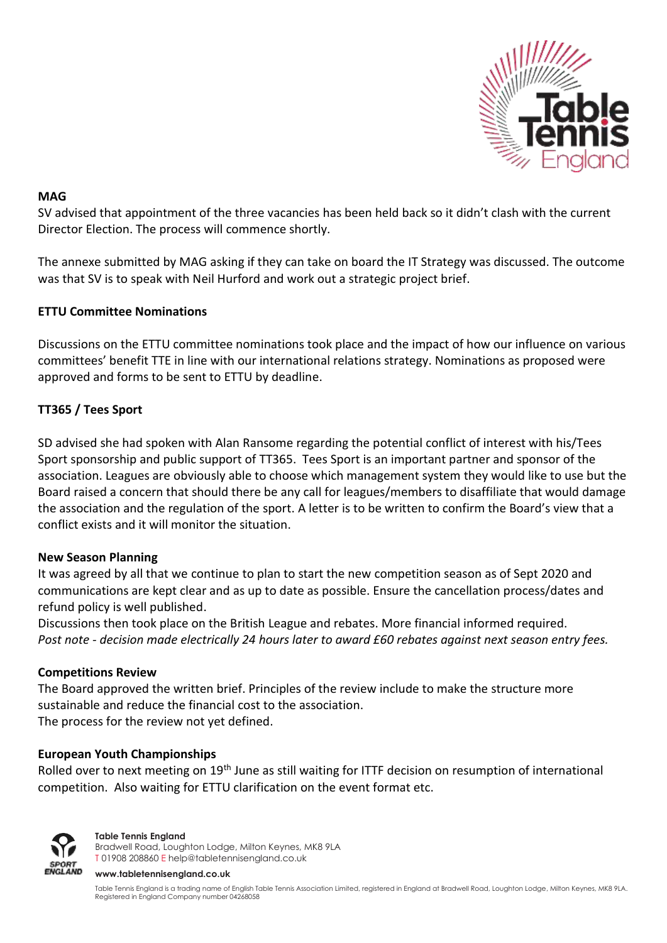

## **MAG**

SV advised that appointment of the three vacancies has been held back so it didn't clash with the current Director Election. The process will commence shortly.

The annexe submitted by MAG asking if they can take on board the IT Strategy was discussed. The outcome was that SV is to speak with Neil Hurford and work out a strategic project brief.

# **ETTU Committee Nominations**

Discussions on the ETTU committee nominations took place and the impact of how our influence on various committees' benefit TTE in line with our international relations strategy. Nominations as proposed were approved and forms to be sent to ETTU by deadline.

# **TT365 / Tees Sport**

SD advised she had spoken with Alan Ransome regarding the potential conflict of interest with his/Tees Sport sponsorship and public support of TT365. Tees Sport is an important partner and sponsor of the association. Leagues are obviously able to choose which management system they would like to use but the Board raised a concern that should there be any call for leagues/members to disaffiliate that would damage the association and the regulation of the sport. A letter is to be written to confirm the Board's view that a conflict exists and it will monitor the situation.

# **New Season Planning**

It was agreed by all that we continue to plan to start the new competition season as of Sept 2020 and communications are kept clear and as up to date as possible. Ensure the cancellation process/dates and refund policy is well published.

Discussions then took place on the British League and rebates. More financial informed required. *Post note - decision made electrically 24 hours later to award £60 rebates against next season entry fees.*

## **Competitions Review**

The Board approved the written brief. Principles of the review include to make the structure more sustainable and reduce the financial cost to the association.

The process for the review not yet defined.

# **European Youth Championships**

Rolled over to next meeting on 19<sup>th</sup> June as still waiting for ITTF decision on resumption of international competition. Also waiting for ETTU clarification on the event format etc.



**Table Tennis England**

Bradwell Road, Loughton Lodge, Milton Keynes, MK8 9LA T 01908 208860 [E help@tabletennisengland.co.uk](mailto:help@tabletennisengland.co.uk)

**[www.tabletennisengland.co.uk](http://www.tabletennisengland.co.uk/)**